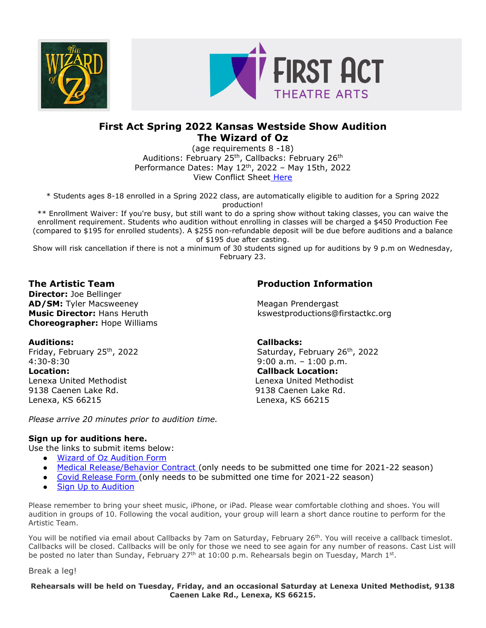



# **First Act Spring 2022 Kansas Westside Show Audition The Wizard of Oz**

(age requirements 8 -18) Auditions: February 25<sup>th</sup>, Callbacks: February 26<sup>th</sup> Performance Dates: May 12th, 2022 – May 15th, 2022 View Conflict Sheet [Here](https://firstactkc.org/wp-content/uploads/sites/12/2021/12/Wizard-of-Oz-Conflict-Sheet.pdf)

\* Students ages 8-18 enrolled in a Spring 2022 class, are automatically eligible to audition for a Spring 2022 production!

\*\* Enrollment Waiver: If you're busy, but still want to do a spring show without taking classes, you can waive the enrollment requirement. Students who audition without enrolling in classes will be charged a \$450 Production Fee (compared to \$195 for enrolled students). A \$255 non-refundable deposit will be due before auditions and a balance of \$195 due after casting.

Show will risk cancellation if there is not a minimum of 30 students signed up for auditions by 9 p.m on Wednesday, February 23.

**Director:** Joe Bellinger **AD/SM:** Tyler Macsweeney Meagan Prendergast **Choreographer:** Hope Williams

4:30-8:30 9:00 a.m. – 1:00 p.m. **Location: Callback Location:** Lenexa United Methodist Lenexa United Methodist 9138 Caenen Lake Rd. 9138 Caenen Lake Rd. Lenexa, KS 66215 Lenexa, KS 66215

*Please arrive 20 minutes prior to audition time.* 

## **Sign up for auditions here.**

Use the links to submit items below:

- [Wizard of Oz Audition Form](https://form.jotform.com/213415573218150)
- [Medical Release/Behavior Contract](https://form.jotform.com/212006233004131) (only needs to be submitted one time for 2021-22 season)
- [Covid Release Form](https://form.jotform.com/212017082061138) (only needs to be submitted one time for 2021-22 season)
- [Sign Up to Audition](https://www.signupgenius.com/go/10C0D4FA8AD22A3F58-thewizard1)

Please remember to bring your sheet music, iPhone, or iPad. Please wear comfortable clothing and shoes. You will audition in groups of 10. Following the vocal audition, your group will learn a short dance routine to perform for the Artistic Team.

You will be notified via email about Callbacks by 7am on Saturday, February 26<sup>th</sup>. You will receive a callback timeslot. Callbacks will be closed. Callbacks will be only for those we need to see again for any number of reasons. Cast List will be posted no later than Sunday, February 27<sup>th</sup> at 10:00 p.m. Rehearsals begin on Tuesday, March 1st.

Break a leg!

### **Rehearsals will be held on Tuesday, Friday, and an occasional Saturday at Lenexa United Methodist, 9138 Caenen Lake Rd., Lenexa, KS 66215.**

# **The Artistic Team Production Information**

**Music Director:** Hans Heruth **knowledge and a set of the example of kswestproductions@firstactkc.org** 

## **Auditions: Callbacks:**

Friday, February 25<sup>th</sup>, 2022 Saturday, February 26<sup>th</sup>, 2022